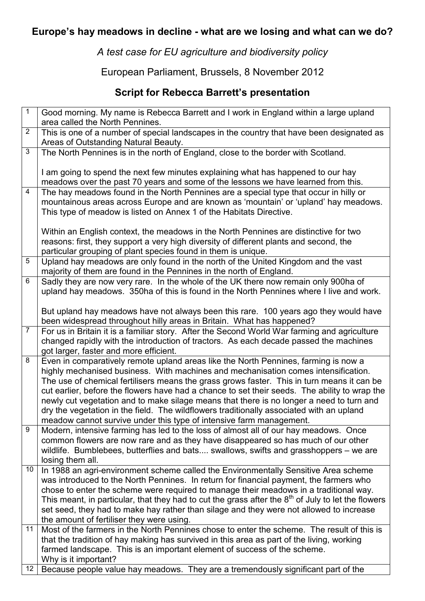## **Europe's hay meadows in decline - what are we losing and what can we do?**

*A test case for EU agriculture and biodiversity policy* 

European Parliament, Brussels, 8 November 2012

## **Script for Rebecca Barrett's presentation**

| $\mathbf{1}$    | Good morning. My name is Rebecca Barrett and I work in England within a large upland                                                                                       |
|-----------------|----------------------------------------------------------------------------------------------------------------------------------------------------------------------------|
|                 | area called the North Pennines.                                                                                                                                            |
| $\overline{2}$  | This is one of a number of special landscapes in the country that have been designated as                                                                                  |
|                 | Areas of Outstanding Natural Beauty.                                                                                                                                       |
| 3               | The North Pennines is in the north of England, close to the border with Scotland.                                                                                          |
|                 | I am going to spend the next few minutes explaining what has happened to our hay                                                                                           |
|                 | meadows over the past 70 years and some of the lessons we have learned from this.                                                                                          |
| 4               | The hay meadows found in the North Pennines are a special type that occur in hilly or                                                                                      |
|                 | mountainous areas across Europe and are known as 'mountain' or 'upland' hay meadows.                                                                                       |
|                 | This type of meadow is listed on Annex 1 of the Habitats Directive.                                                                                                        |
|                 |                                                                                                                                                                            |
|                 | Within an English context, the meadows in the North Pennines are distinctive for two                                                                                       |
|                 | reasons: first, they support a very high diversity of different plants and second, the                                                                                     |
|                 | particular grouping of plant species found in them is unique.                                                                                                              |
| 5               | Upland hay meadows are only found in the north of the United Kingdom and the vast                                                                                          |
|                 | majority of them are found in the Pennines in the north of England.                                                                                                        |
| 6               | Sadly they are now very rare. In the whole of the UK there now remain only 900ha of                                                                                        |
|                 | upland hay meadows. 350ha of this is found in the North Pennines where I live and work.                                                                                    |
|                 |                                                                                                                                                                            |
|                 | But upland hay meadows have not always been this rare. 100 years ago they would have                                                                                       |
|                 | been widespread throughout hilly areas in Britain. What has happened?                                                                                                      |
| $\overline{7}$  | For us in Britain it is a familiar story. After the Second World War farming and agriculture                                                                               |
|                 | changed rapidly with the introduction of tractors. As each decade passed the machines                                                                                      |
|                 | got larger, faster and more efficient.                                                                                                                                     |
| 8               | Even in comparatively remote upland areas like the North Pennines, farming is now a                                                                                        |
|                 | highly mechanised business. With machines and mechanisation comes intensification.                                                                                         |
|                 | The use of chemical fertilisers means the grass grows faster. This in turn means it can be                                                                                 |
|                 | cut earlier, before the flowers have had a chance to set their seeds. The ability to wrap the                                                                              |
|                 | newly cut vegetation and to make silage means that there is no longer a need to turn and                                                                                   |
|                 | dry the vegetation in the field. The wildflowers traditionally associated with an upland                                                                                   |
|                 | meadow cannot survive under this type of intensive farm management.                                                                                                        |
| 9               | Modern, intensive farming has led to the loss of almost all of our hay meadows. Once                                                                                       |
|                 | common flowers are now rare and as they have disappeared so has much of our other<br>wildlife. Bumblebees, butterflies and bats swallows, swifts and grasshoppers – we are |
|                 | losing them all.                                                                                                                                                           |
| 10 <sup>°</sup> | In 1988 an agri-environment scheme called the Environmentally Sensitive Area scheme                                                                                        |
|                 | was introduced to the North Pennines. In return for financial payment, the farmers who                                                                                     |
|                 | chose to enter the scheme were required to manage their meadows in a traditional way.                                                                                      |
|                 | This meant, in particular, that they had to cut the grass after the $8th$ of July to let the flowers                                                                       |
|                 | set seed, they had to make hay rather than silage and they were not allowed to increase                                                                                    |
|                 | the amount of fertiliser they were using.                                                                                                                                  |
| 11              | Most of the farmers in the North Pennines chose to enter the scheme. The result of this is                                                                                 |
|                 | that the tradition of hay making has survived in this area as part of the living, working                                                                                  |
|                 | farmed landscape. This is an important element of success of the scheme.                                                                                                   |
|                 | Why is it important?                                                                                                                                                       |
| 12              | Because people value hay meadows. They are a tremendously significant part of the                                                                                          |